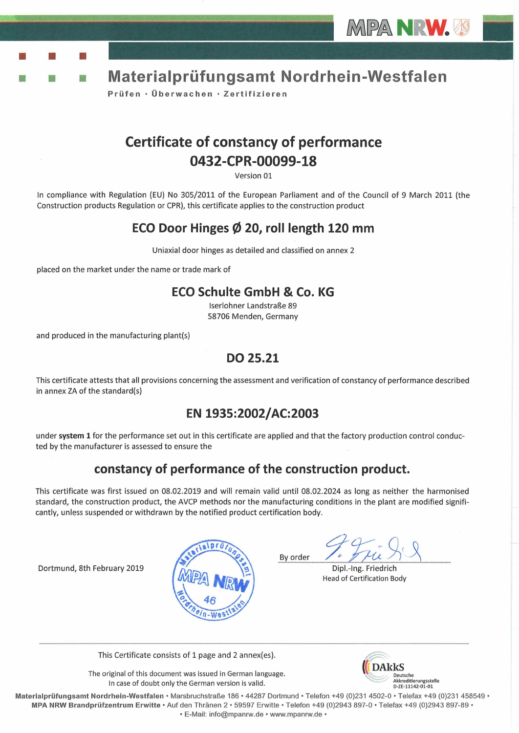



Prüfen · Überwachen · Zertifizieren

# **Certificate of constancy of performance** 0432-CPR-00099-18

Version 01

In compliance with Regulation (EU) No 305/2011 of the European Parliament and of the Council of 9 March 2011 (the Construction products Regulation or CPR), this certificate applies to the construction product

## ECO Door Hinges Ø 20, roll length 120 mm

Uniaxial door hinges as detailed and classified on annex 2

placed on the market under the name or trade mark of

#### **ECO Schulte GmbH & Co. KG**

Iserlohner Landstraße 89 58706 Menden, Germany

and produced in the manufacturing plant(s)

B

### DO 25.21

This certificate attests that all provisions concerning the assessment and verification of constancy of performance described in annex ZA of the standard(s)

## EN 1935:2002/AC:2003

under system 1 for the performance set out in this certificate are applied and that the factory production control conducted by the manufacturer is assessed to ensure the

## constancy of performance of the construction product.

This certificate was first issued on 08.02.2019 and will remain valid until 08.02.2024 as long as neither the harmonised standard, the construction product, the AVCP methods nor the manufacturing conditions in the plant are modified significantly, unless suspended or withdrawn by the notified product certification body.

Dortmund, 8th February 2019



By order

Dipl.-Ing. Friedrich Head of Certification Body

This Certificate consists of 1 page and 2 annex(es).

The original of this document was issued in German language. In case of doubt only the German version is valid.



Materialprüfungsamt Nordrhein-Westfalen · Marsbruchstraße 186 · 44287 Dortmund · Telefon +49 (0)231 4502-0 · Telefax +49 (0)231 458549 · MPA NRW Brandprüfzentrum Erwitte · Auf den Thränen 2 · 59597 Erwitte · Telefon +49 (0)2943 897-0 · Telefax +49 (0)2943 897-89 · · E-Mail: info@mpanrw.de · www.mpanrw.de ·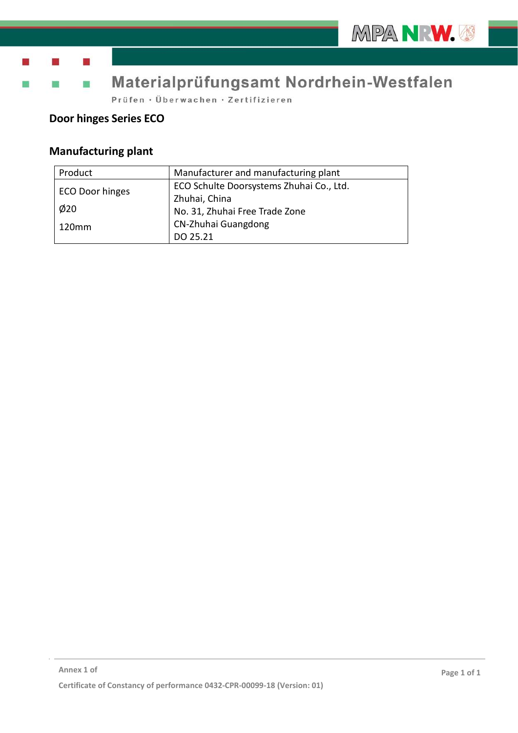



# Materialprüfungsamt Nordrhein-Westfalen

Prüfen · Überwachen · Zertifizieren

### **Door hinges Series ECO**

m.

## **Manufacturing plant**

| Product         | Manufacturer and manufacturing plant     |  |
|-----------------|------------------------------------------|--|
| ECO Door hinges | ECO Schulte Doorsystems Zhuhai Co., Ltd. |  |
|                 | Zhuhai, China                            |  |
| $\phi$ 20       | No. 31, Zhuhai Free Trade Zone           |  |
| 120mm           | CN-Zhuhai Guangdong                      |  |
|                 | DO 25.21                                 |  |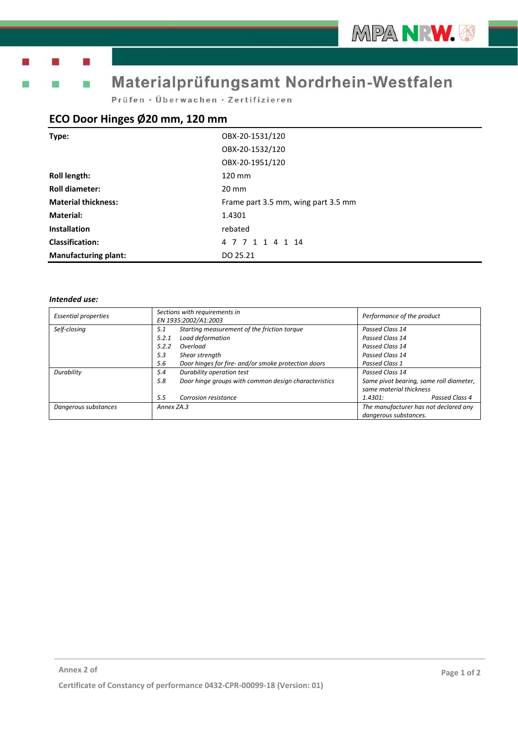# Materialprüfungsamt Nordrhein-Westfalen

Prüfen · Überwachen · Zertifizieren

#### **ECO Door Hinges Ø20 mm, 120 mm**

| Type:                      | OBX-20-1531/120                     |  |
|----------------------------|-------------------------------------|--|
|                            | OBX-20-1532/120                     |  |
|                            | OBX-20-1951/120                     |  |
| <b>Roll length:</b>        | $120 \text{ mm}$                    |  |
| <b>Roll diameter:</b>      | $20 \text{ mm}$                     |  |
| <b>Material thickness:</b> | Frame part 3.5 mm, wing part 3.5 mm |  |
| <b>Material:</b>           | 1.4301                              |  |
| <b>Installation</b>        | rebated                             |  |
|                            |                                     |  |
| <b>Classification:</b>     | 4 7 7 1 1 4 1 14                    |  |

#### *Intended use:*

| <b>Essential properties</b> | Sections with requirements in<br>EN 1935:2002/A1:2003       | Performance of the product                                         |
|-----------------------------|-------------------------------------------------------------|--------------------------------------------------------------------|
| Self-closing                | Starting measurement of the friction torque<br>5.1          | Passed Class 14                                                    |
|                             | Load deformation<br>5.2.1                                   | Passed Class 14                                                    |
|                             | 5.2.2<br>Overload                                           | Passed Class 14                                                    |
|                             | 5.3<br>Shear strength                                       | Passed Class 14                                                    |
|                             | Door hinges for fire- and/or smoke protection doors<br>5.6  | Passed Class 1                                                     |
| Durability                  | Durability operation test<br>5.4                            | Passed Class 14                                                    |
|                             | Door hinge groups with common design characteristics<br>5.8 | Same pivot bearing, same roll diameter,<br>same material thickness |
|                             | 5.5<br>Corrosion resistance                                 | Passed Class 4<br>1.4301:                                          |
| Dangerous substances        | Annex ZA.3                                                  | The manufacturer has not declared any                              |
|                             |                                                             | danaerous substances.                                              |